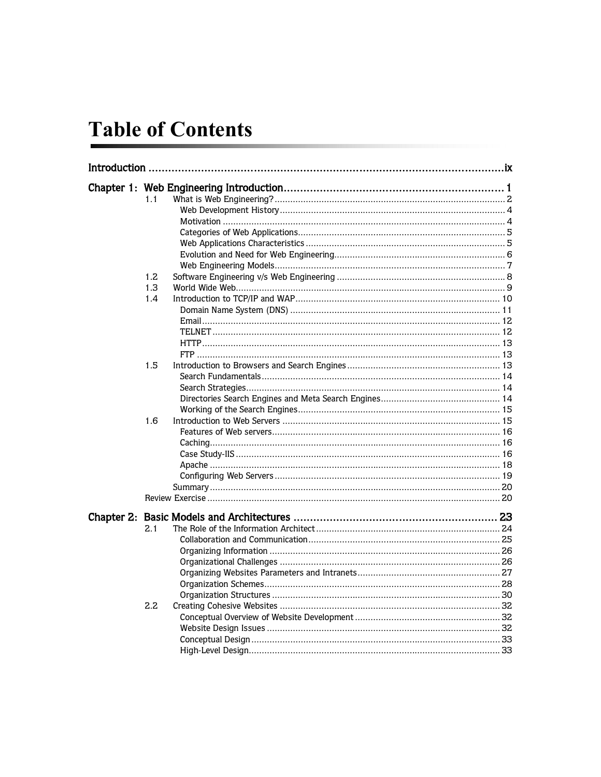## **Table of Contents**

| 1.1 |  |
|-----|--|
|     |  |
|     |  |
|     |  |
|     |  |
|     |  |
|     |  |
| 1.2 |  |
| 1.3 |  |
| 1.4 |  |
|     |  |
|     |  |
|     |  |
|     |  |
|     |  |
| 1.5 |  |
|     |  |
|     |  |
|     |  |
|     |  |
| 1.6 |  |
|     |  |
|     |  |
|     |  |
|     |  |
|     |  |
|     |  |
|     |  |
|     |  |
| 2.1 |  |
|     |  |
|     |  |
|     |  |
|     |  |
|     |  |
|     |  |
| 2.2 |  |
|     |  |
|     |  |
|     |  |
|     |  |
|     |  |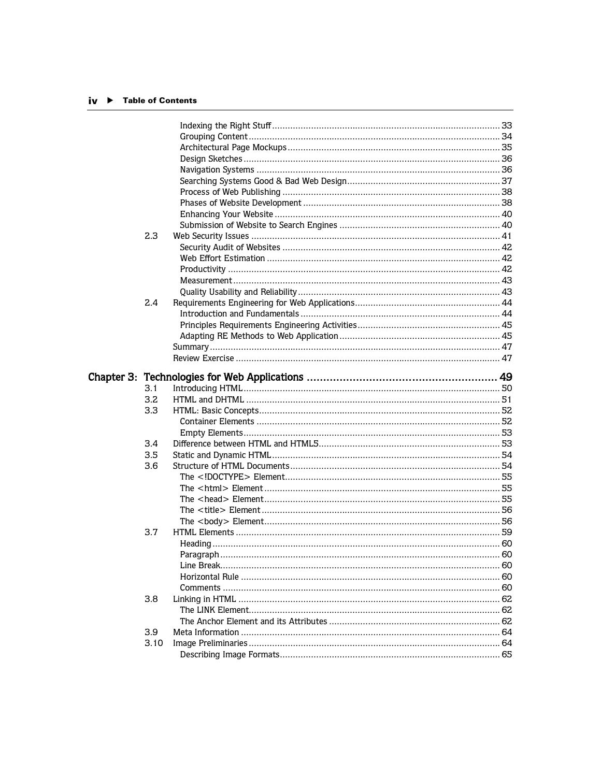## iv ▶ Table of Contents

| 2.3  |                 |  |
|------|-----------------|--|
|      |                 |  |
|      |                 |  |
|      |                 |  |
|      |                 |  |
|      |                 |  |
| 2.4  |                 |  |
|      |                 |  |
|      |                 |  |
|      |                 |  |
|      |                 |  |
|      |                 |  |
|      |                 |  |
|      |                 |  |
| 3.1  |                 |  |
| 3.2  |                 |  |
| 3.3  |                 |  |
|      |                 |  |
|      |                 |  |
| 3.4  |                 |  |
| 3.5  |                 |  |
| 3.6  |                 |  |
|      |                 |  |
|      |                 |  |
|      |                 |  |
|      |                 |  |
|      |                 |  |
| 3.7  |                 |  |
|      |                 |  |
|      | 60<br>Paragraph |  |
|      |                 |  |
|      |                 |  |
|      |                 |  |
| 3.8  |                 |  |
|      |                 |  |
|      |                 |  |
| 3.9  |                 |  |
|      |                 |  |
| 3.10 |                 |  |
|      |                 |  |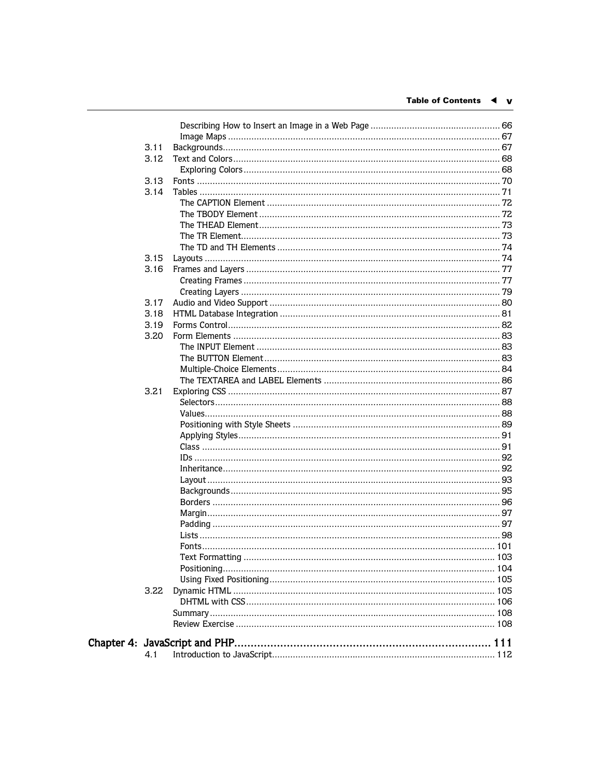| 3.11<br>3.12<br>3.13<br>3.14<br>3.15<br>3.16<br>3.17<br>3.18<br>3.19<br>3.20<br>3.21<br>3.22<br>4.1 |  |  |
|-----------------------------------------------------------------------------------------------------|--|--|
|                                                                                                     |  |  |
|                                                                                                     |  |  |
|                                                                                                     |  |  |
|                                                                                                     |  |  |
|                                                                                                     |  |  |
|                                                                                                     |  |  |
|                                                                                                     |  |  |
|                                                                                                     |  |  |
|                                                                                                     |  |  |
|                                                                                                     |  |  |
|                                                                                                     |  |  |
|                                                                                                     |  |  |
|                                                                                                     |  |  |
|                                                                                                     |  |  |
|                                                                                                     |  |  |
|                                                                                                     |  |  |
|                                                                                                     |  |  |
|                                                                                                     |  |  |
|                                                                                                     |  |  |
|                                                                                                     |  |  |
|                                                                                                     |  |  |
|                                                                                                     |  |  |
|                                                                                                     |  |  |
|                                                                                                     |  |  |
|                                                                                                     |  |  |
|                                                                                                     |  |  |
|                                                                                                     |  |  |
|                                                                                                     |  |  |
|                                                                                                     |  |  |
|                                                                                                     |  |  |
|                                                                                                     |  |  |
|                                                                                                     |  |  |
|                                                                                                     |  |  |
|                                                                                                     |  |  |
|                                                                                                     |  |  |
|                                                                                                     |  |  |
|                                                                                                     |  |  |
|                                                                                                     |  |  |
|                                                                                                     |  |  |
|                                                                                                     |  |  |
|                                                                                                     |  |  |
|                                                                                                     |  |  |
|                                                                                                     |  |  |
|                                                                                                     |  |  |
|                                                                                                     |  |  |
|                                                                                                     |  |  |
|                                                                                                     |  |  |
|                                                                                                     |  |  |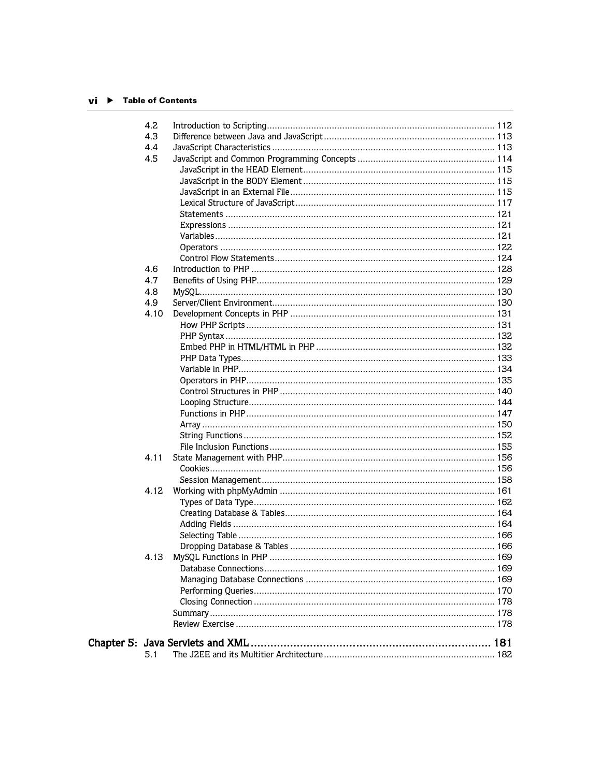## $vi$   $\rightarrow$  Table of Contents

| 4.2  |  |
|------|--|
| 4.3  |  |
| 4.4  |  |
| 4.5  |  |
|      |  |
|      |  |
|      |  |
|      |  |
|      |  |
|      |  |
|      |  |
|      |  |
|      |  |
| 4.6  |  |
| 4.7  |  |
| 4.8  |  |
| 4.9  |  |
| 4.10 |  |
|      |  |
|      |  |
|      |  |
|      |  |
|      |  |
|      |  |
|      |  |
|      |  |
|      |  |
|      |  |
|      |  |
|      |  |
| 4.11 |  |
|      |  |
|      |  |
| 4.12 |  |
|      |  |
|      |  |
|      |  |
|      |  |
|      |  |
|      |  |
|      |  |
|      |  |
|      |  |
|      |  |
|      |  |
|      |  |
|      |  |
|      |  |
| 5.1  |  |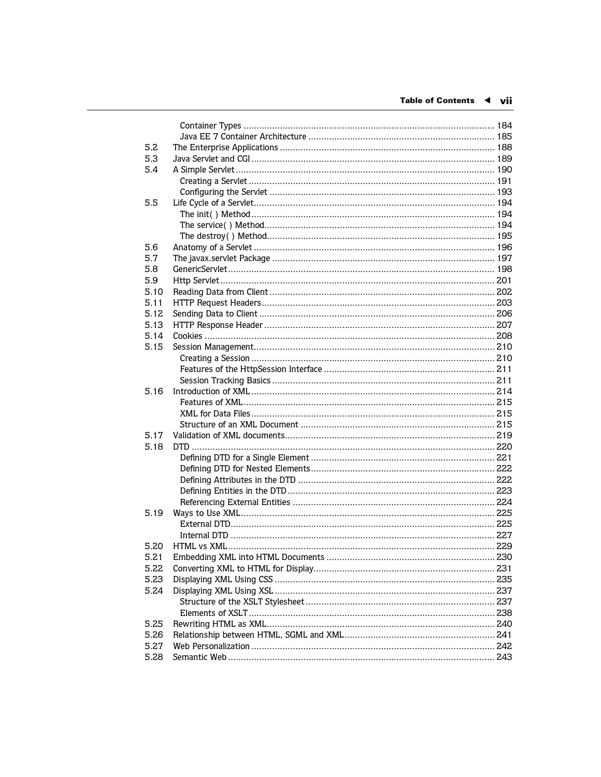| 5.2        |  |
|------------|--|
| 5.3<br>5.4 |  |
|            |  |
|            |  |
| 5.5        |  |
|            |  |
|            |  |
|            |  |
|            |  |
| 5.6        |  |
| 5.7        |  |
| 5.8        |  |
| 5.9        |  |
| 5.10       |  |
| 5.11       |  |
| 5.12       |  |
| 5.13       |  |
| 5.14       |  |
| 5.15       |  |
|            |  |
|            |  |
|            |  |
| 5.16       |  |
|            |  |
|            |  |
|            |  |
| 5.17       |  |
| 5.18       |  |
|            |  |
|            |  |
|            |  |
|            |  |
|            |  |
| 5.19       |  |
|            |  |
|            |  |
| 5.20       |  |
| 5.21       |  |
| 5.22       |  |
| 5.23       |  |
| 5.24       |  |
|            |  |
|            |  |
| 5.25       |  |
| 5.26       |  |
| 5.27       |  |
| 5.28       |  |